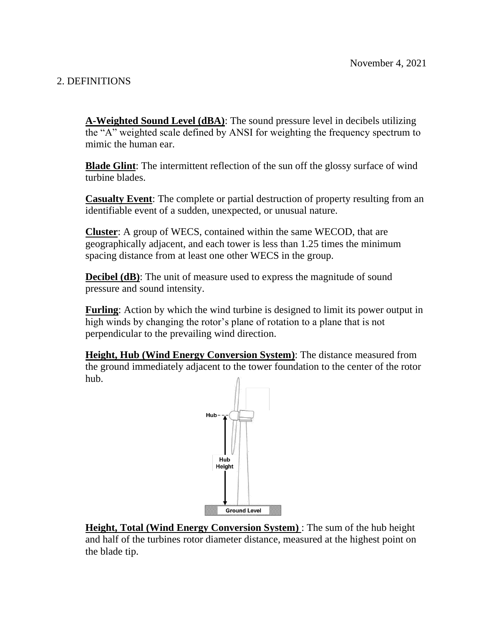# 2. DEFINITIONS

**A-Weighted Sound Level (dBA)**: The sound pressure level in decibels utilizing the "A" weighted scale defined by ANSI for weighting the frequency spectrum to mimic the human ear.

**Blade Glint**: The intermittent reflection of the sun off the glossy surface of wind turbine blades.

**Casualty Event**: The complete or partial destruction of property resulting from an identifiable event of a sudden, unexpected, or unusual nature.

**Cluster**: A group of WECS, contained within the same WECOD, that are geographically adjacent, and each tower is less than 1.25 times the minimum spacing distance from at least one other WECS in the group.

**Decibel (dB)**: The unit of measure used to express the magnitude of sound pressure and sound intensity.

**Furling**: Action by which the wind turbine is designed to limit its power output in high winds by changing the rotor's plane of rotation to a plane that is not perpendicular to the prevailing wind direction.

**Height, Hub (Wind Energy Conversion System)**: The distance measured from the ground immediately adjacent to the tower foundation to the center of the rotor hub.



**Height, Total (Wind Energy Conversion System)** : The sum of the hub height and half of the turbines rotor diameter distance, measured at the highest point on the blade tip.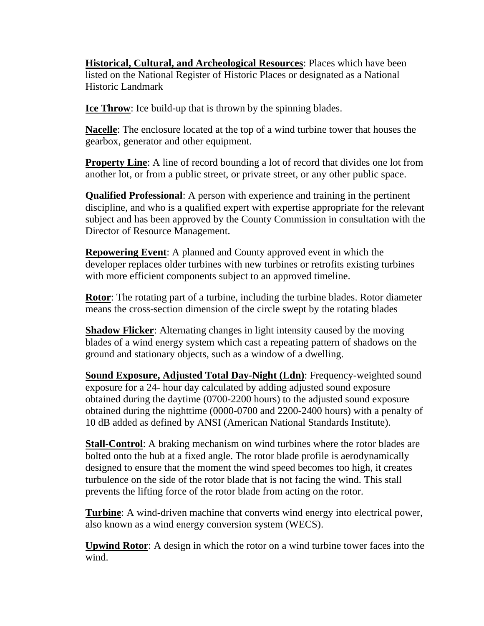**Historical, Cultural, and Archeological Resources**: Places which have been listed on the National Register of Historic Places or designated as a National Historic Landmark

**Ice Throw**: Ice build-up that is thrown by the spinning blades.

**Nacelle**: The enclosure located at the top of a wind turbine tower that houses the gearbox, generator and other equipment.

**Property Line:** A line of record bounding a lot of record that divides one lot from another lot, or from a public street, or private street, or any other public space.

**Qualified Professional**: A person with experience and training in the pertinent discipline, and who is a qualified expert with expertise appropriate for the relevant subject and has been approved by the County Commission in consultation with the Director of Resource Management.

**Repowering Event**: A planned and County approved event in which the developer replaces older turbines with new turbines or retrofits existing turbines with more efficient components subject to an approved timeline.

**Rotor**: The rotating part of a turbine, including the turbine blades. Rotor diameter means the cross-section dimension of the circle swept by the rotating blades

**Shadow Flicker**: Alternating changes in light intensity caused by the moving blades of a wind energy system which cast a repeating pattern of shadows on the ground and stationary objects, such as a window of a dwelling.

**Sound Exposure, Adjusted Total Day-Night (Ldn)**: Frequency-weighted sound exposure for a 24- hour day calculated by adding adjusted sound exposure obtained during the daytime (0700-2200 hours) to the adjusted sound exposure obtained during the nighttime (0000-0700 and 2200-2400 hours) with a penalty of 10 dB added as defined by ANSI (American National Standards Institute).

**Stall-Control**: A braking mechanism on wind turbines where the rotor blades are bolted onto the hub at a fixed angle. The rotor blade profile is aerodynamically designed to ensure that the moment the wind speed becomes too high, it creates turbulence on the side of the rotor blade that is not facing the wind. This stall prevents the lifting force of the rotor blade from acting on the rotor.

**Turbine**: A wind-driven machine that converts wind energy into electrical power, also known as a wind energy conversion system (WECS).

**Upwind Rotor**: A design in which the rotor on a wind turbine tower faces into the wind.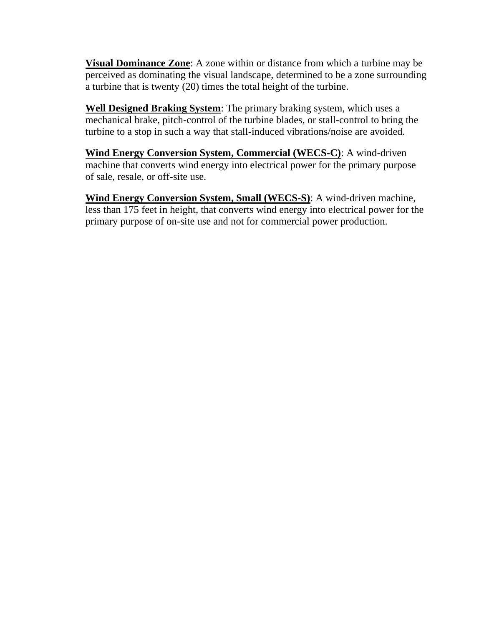**Visual Dominance Zone**: A zone within or distance from which a turbine may be perceived as dominating the visual landscape, determined to be a zone surrounding a turbine that is twenty (20) times the total height of the turbine.

**Well Designed Braking System**: The primary braking system, which uses a mechanical brake, pitch-control of the turbine blades, or stall-control to bring the turbine to a stop in such a way that stall-induced vibrations/noise are avoided.

**Wind Energy Conversion System, Commercial (WECS-C)**: A wind-driven machine that converts wind energy into electrical power for the primary purpose of sale, resale, or off-site use.

**Wind Energy Conversion System, Small (WECS-S)**: A wind-driven machine, less than 175 feet in height, that converts wind energy into electrical power for the primary purpose of on-site use and not for commercial power production.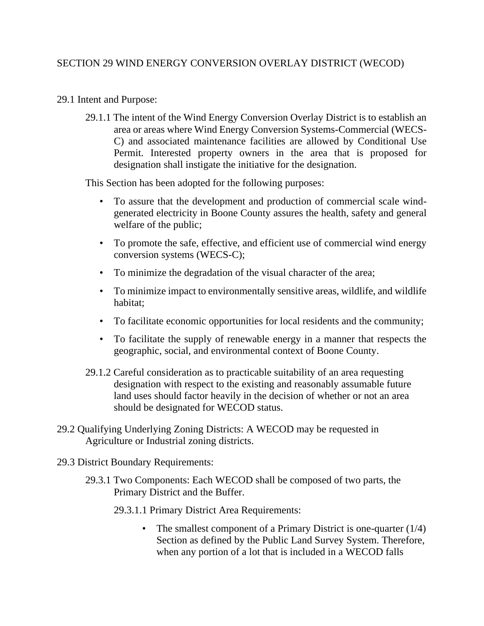## 29.1 Intent and Purpose:

29.1.1 The intent of the Wind Energy Conversion Overlay District is to establish an area or areas where Wind Energy Conversion Systems-Commercial (WECS-C) and associated maintenance facilities are allowed by Conditional Use Permit. Interested property owners in the area that is proposed for designation shall instigate the initiative for the designation.

This Section has been adopted for the following purposes:

- To assure that the development and production of commercial scale windgenerated electricity in Boone County assures the health, safety and general welfare of the public;
- To promote the safe, effective, and efficient use of commercial wind energy conversion systems (WECS-C);
- To minimize the degradation of the visual character of the area;
- To minimize impact to environmentally sensitive areas, wildlife, and wildlife habitat;
- To facilitate economic opportunities for local residents and the community;
- To facilitate the supply of renewable energy in a manner that respects the geographic, social, and environmental context of Boone County.
- 29.1.2 Careful consideration as to practicable suitability of an area requesting designation with respect to the existing and reasonably assumable future land uses should factor heavily in the decision of whether or not an area should be designated for WECOD status.
- 29.2 Qualifying Underlying Zoning Districts: A WECOD may be requested in Agriculture or Industrial zoning districts.
- 29.3 District Boundary Requirements:
	- 29.3.1 Two Components: Each WECOD shall be composed of two parts, the Primary District and the Buffer.
		- 29.3.1.1 Primary District Area Requirements:
			- The smallest component of a Primary District is one-quarter (1/4) Section as defined by the Public Land Survey System. Therefore, when any portion of a lot that is included in a WECOD falls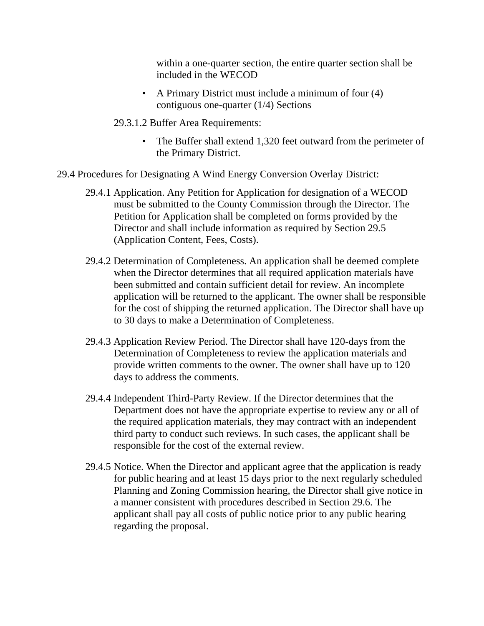within a one-quarter section, the entire quarter section shall be included in the WECOD

- A Primary District must include a minimum of four (4) contiguous one-quarter (1/4) Sections
- 29.3.1.2 Buffer Area Requirements:
	- The Buffer shall extend 1,320 feet outward from the perimeter of the Primary District.
- 29.4 Procedures for Designating A Wind Energy Conversion Overlay District:
	- 29.4.1 Application. Any Petition for Application for designation of a WECOD must be submitted to the County Commission through the Director. The Petition for Application shall be completed on forms provided by the Director and shall include information as required by Section 29.5 (Application Content, Fees, Costs).
	- 29.4.2 Determination of Completeness. An application shall be deemed complete when the Director determines that all required application materials have been submitted and contain sufficient detail for review. An incomplete application will be returned to the applicant. The owner shall be responsible for the cost of shipping the returned application. The Director shall have up to 30 days to make a Determination of Completeness.
	- 29.4.3 Application Review Period. The Director shall have 120-days from the Determination of Completeness to review the application materials and provide written comments to the owner. The owner shall have up to 120 days to address the comments.
	- 29.4.4 Independent Third-Party Review. If the Director determines that the Department does not have the appropriate expertise to review any or all of the required application materials, they may contract with an independent third party to conduct such reviews. In such cases, the applicant shall be responsible for the cost of the external review.
	- 29.4.5 Notice. When the Director and applicant agree that the application is ready for public hearing and at least 15 days prior to the next regularly scheduled Planning and Zoning Commission hearing, the Director shall give notice in a manner consistent with procedures described in Section 29.6. The applicant shall pay all costs of public notice prior to any public hearing regarding the proposal.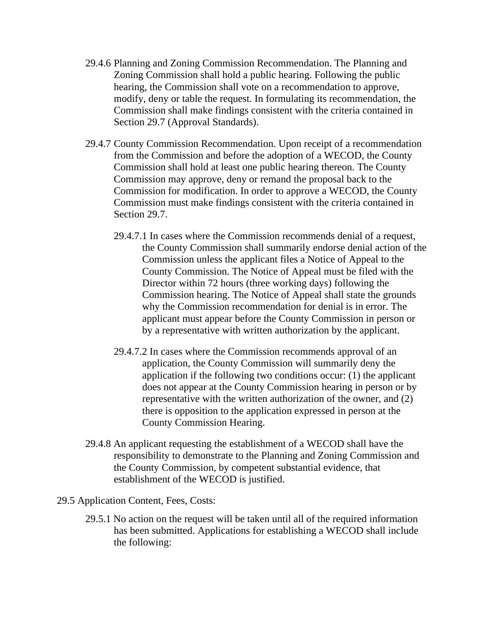- 29.4.6 Planning and Zoning Commission Recommendation. The Planning and Zoning Commission shall hold a public hearing. Following the public hearing, the Commission shall vote on a recommendation to approve, modify, deny or table the request. In formulating its recommendation, the Commission shall make findings consistent with the criteria contained in Section 29.7 (Approval Standards).
- 29.4.7 County Commission Recommendation. Upon receipt of a recommendation from the Commission and before the adoption of a WECOD, the County Commission shall hold at least one public hearing thereon. The County Commission may approve, deny or remand the proposal back to the Commission for modification. In order to approve a WECOD, the County Commission must make findings consistent with the criteria contained in Section 29.7.
	- 29.4.7.1 In cases where the Commission recommends denial of a request, the County Commission shall summarily endorse denial action of the Commission unless the applicant files a Notice of Appeal to the County Commission. The Notice of Appeal must be filed with the Director within 72 hours (three working days) following the Commission hearing. The Notice of Appeal shall state the grounds why the Commission recommendation for denial is in error. The applicant must appear before the County Commission in person or by a representative with written authorization by the applicant.
	- 29.4.7.2 In cases where the Commission recommends approval of an application, the County Commission will summarily deny the application if the following two conditions occur: (1) the applicant does not appear at the County Commission hearing in person or by representative with the written authorization of the owner, and (2) there is opposition to the application expressed in person at the County Commission Hearing.
- 29.4.8 An applicant requesting the establishment of a WECOD shall have the responsibility to demonstrate to the Planning and Zoning Commission and the County Commission, by competent substantial evidence, that establishment of the WECOD is justified.
- 29.5 Application Content, Fees, Costs:
	- 29.5.1 No action on the request will be taken until all of the required information has been submitted. Applications for establishing a WECOD shall include the following: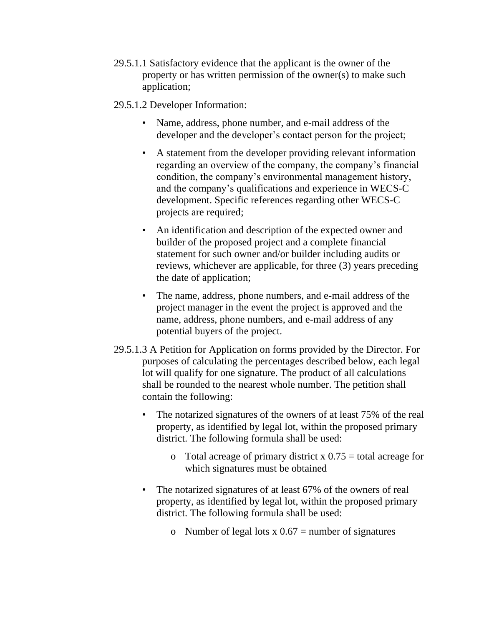- 29.5.1.1 Satisfactory evidence that the applicant is the owner of the property or has written permission of the owner(s) to make such application;
- 29.5.1.2 Developer Information:
	- Name, address, phone number, and e-mail address of the developer and the developer's contact person for the project;
	- A statement from the developer providing relevant information regarding an overview of the company, the company's financial condition, the company's environmental management history, and the company's qualifications and experience in WECS-C development. Specific references regarding other WECS-C projects are required;
	- An identification and description of the expected owner and builder of the proposed project and a complete financial statement for such owner and/or builder including audits or reviews, whichever are applicable, for three (3) years preceding the date of application;
	- The name, address, phone numbers, and e-mail address of the project manager in the event the project is approved and the name, address, phone numbers, and e-mail address of any potential buyers of the project.
- 29.5.1.3 A Petition for Application on forms provided by the Director. For purposes of calculating the percentages described below, each legal lot will qualify for one signature. The product of all calculations shall be rounded to the nearest whole number. The petition shall contain the following:
	- The notarized signatures of the owners of at least 75% of the real property, as identified by legal lot, within the proposed primary district. The following formula shall be used:
		- o Total acreage of primary district x  $0.75$  = total acreage for which signatures must be obtained
	- The notarized signatures of at least 67% of the owners of real property, as identified by legal lot, within the proposed primary district. The following formula shall be used:
		- o Number of legal lots  $x \cdot 0.67$  = number of signatures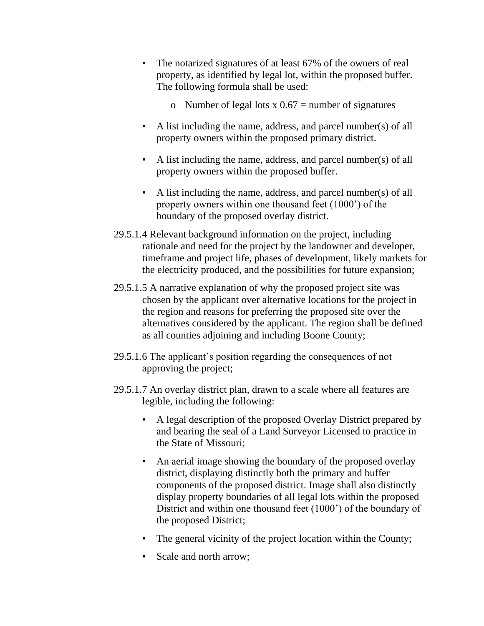- The notarized signatures of at least 67% of the owners of real property, as identified by legal lot, within the proposed buffer. The following formula shall be used:
	- o Number of legal lots  $x \cdot 0.67$  = number of signatures
- A list including the name, address, and parcel number(s) of all property owners within the proposed primary district.
- A list including the name, address, and parcel number(s) of all property owners within the proposed buffer.
- A list including the name, address, and parcel number(s) of all property owners within one thousand feet (1000') of the boundary of the proposed overlay district.
- 29.5.1.4 Relevant background information on the project, including rationale and need for the project by the landowner and developer, timeframe and project life, phases of development, likely markets for the electricity produced, and the possibilities for future expansion;
- 29.5.1.5 A narrative explanation of why the proposed project site was chosen by the applicant over alternative locations for the project in the region and reasons for preferring the proposed site over the alternatives considered by the applicant. The region shall be defined as all counties adjoining and including Boone County;
- 29.5.1.6 The applicant's position regarding the consequences of not approving the project;
- 29.5.1.7 An overlay district plan, drawn to a scale where all features are legible, including the following:
	- A legal description of the proposed Overlay District prepared by and bearing the seal of a Land Surveyor Licensed to practice in the State of Missouri;
	- An aerial image showing the boundary of the proposed overlay district, displaying distinctly both the primary and buffer components of the proposed district. Image shall also distinctly display property boundaries of all legal lots within the proposed District and within one thousand feet (1000') of the boundary of the proposed District;
	- The general vicinity of the project location within the County;
	- Scale and north arrow;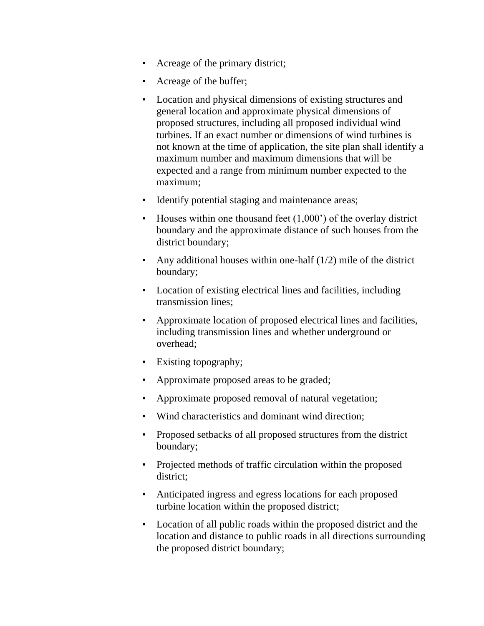- Acreage of the primary district;
- Acreage of the buffer;
- Location and physical dimensions of existing structures and general location and approximate physical dimensions of proposed structures, including all proposed individual wind turbines. If an exact number or dimensions of wind turbines is not known at the time of application, the site plan shall identify a maximum number and maximum dimensions that will be expected and a range from minimum number expected to the maximum;
- Identify potential staging and maintenance areas;
- Houses within one thousand feet (1,000') of the overlay district boundary and the approximate distance of such houses from the district boundary;
- Any additional houses within one-half  $(1/2)$  mile of the district boundary;
- Location of existing electrical lines and facilities, including transmission lines;
- Approximate location of proposed electrical lines and facilities, including transmission lines and whether underground or overhead;
- Existing topography;
- Approximate proposed areas to be graded;
- Approximate proposed removal of natural vegetation;
- Wind characteristics and dominant wind direction;
- Proposed setbacks of all proposed structures from the district boundary;
- Projected methods of traffic circulation within the proposed district;
- Anticipated ingress and egress locations for each proposed turbine location within the proposed district;
- Location of all public roads within the proposed district and the location and distance to public roads in all directions surrounding the proposed district boundary;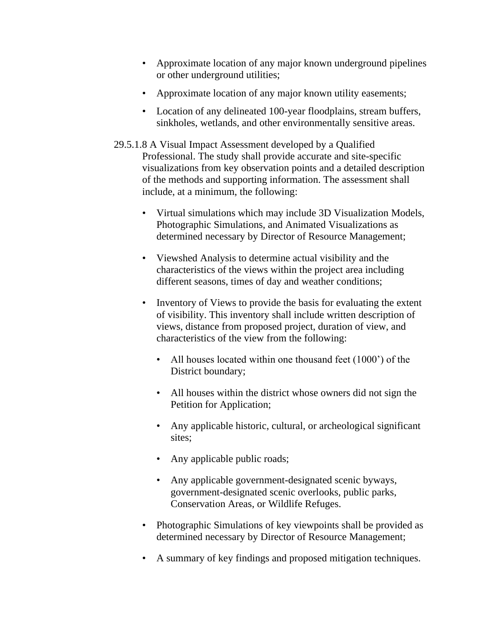- Approximate location of any major known underground pipelines or other underground utilities;
- Approximate location of any major known utility easements;
- Location of any delineated 100-year floodplains, stream buffers, sinkholes, wetlands, and other environmentally sensitive areas.
- 29.5.1.8 A Visual Impact Assessment developed by a Qualified Professional. The study shall provide accurate and site-specific visualizations from key observation points and a detailed description of the methods and supporting information. The assessment shall include, at a minimum, the following:
	- Virtual simulations which may include 3D Visualization Models, Photographic Simulations, and Animated Visualizations as determined necessary by Director of Resource Management;
	- Viewshed Analysis to determine actual visibility and the characteristics of the views within the project area including different seasons, times of day and weather conditions;
	- Inventory of Views to provide the basis for evaluating the extent of visibility. This inventory shall include written description of views, distance from proposed project, duration of view, and characteristics of the view from the following:
		- All houses located within one thousand feet (1000') of the District boundary;
		- All houses within the district whose owners did not sign the Petition for Application;
		- Any applicable historic, cultural, or archeological significant sites;
		- Any applicable public roads;
		- Any applicable government-designated scenic byways, government-designated scenic overlooks, public parks, Conservation Areas, or Wildlife Refuges.
	- Photographic Simulations of key viewpoints shall be provided as determined necessary by Director of Resource Management;
	- A summary of key findings and proposed mitigation techniques.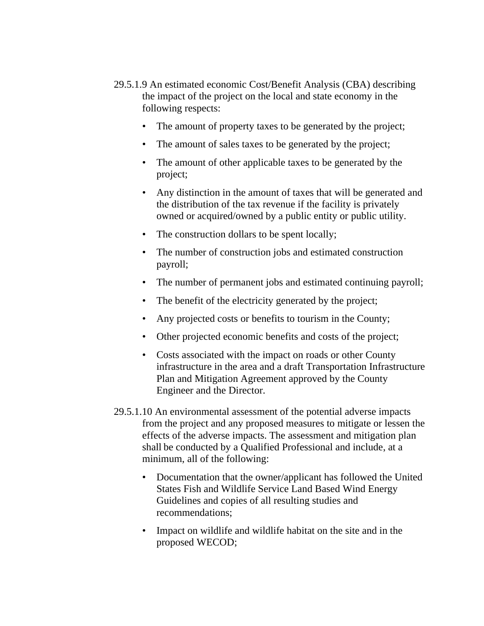- 29.5.1.9 An estimated economic Cost/Benefit Analysis (CBA) describing the impact of the project on the local and state economy in the following respects:
	- The amount of property taxes to be generated by the project;
	- The amount of sales taxes to be generated by the project;
	- The amount of other applicable taxes to be generated by the project;
	- Any distinction in the amount of taxes that will be generated and the distribution of the tax revenue if the facility is privately owned or acquired/owned by a public entity or public utility.
	- The construction dollars to be spent locally;
	- The number of construction jobs and estimated construction payroll;
	- The number of permanent jobs and estimated continuing payroll;
	- The benefit of the electricity generated by the project;
	- Any projected costs or benefits to tourism in the County;
	- Other projected economic benefits and costs of the project;
	- Costs associated with the impact on roads or other County infrastructure in the area and a draft Transportation Infrastructure Plan and Mitigation Agreement approved by the County Engineer and the Director.
- 29.5.1.10 An environmental assessment of the potential adverse impacts from the project and any proposed measures to mitigate or lessen the effects of the adverse impacts. The assessment and mitigation plan shall be conducted by a Qualified Professional and include, at a minimum, all of the following:
	- Documentation that the owner/applicant has followed the United States Fish and Wildlife Service Land Based Wind Energy Guidelines and copies of all resulting studies and recommendations;
	- Impact on wildlife and wildlife habitat on the site and in the proposed WECOD;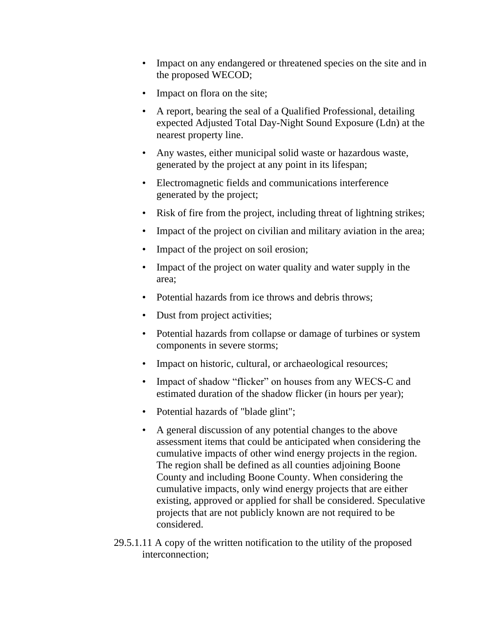- Impact on any endangered or threatened species on the site and in the proposed WECOD;
- Impact on flora on the site;
- A report, bearing the seal of a Qualified Professional, detailing expected Adjusted Total Day-Night Sound Exposure (Ldn) at the nearest property line.
- Any wastes, either municipal solid waste or hazardous waste, generated by the project at any point in its lifespan;
- Electromagnetic fields and communications interference generated by the project;
- Risk of fire from the project, including threat of lightning strikes;
- Impact of the project on civilian and military aviation in the area;
- Impact of the project on soil erosion;
- Impact of the project on water quality and water supply in the area;
- Potential hazards from ice throws and debris throws;
- Dust from project activities;
- Potential hazards from collapse or damage of turbines or system components in severe storms;
- Impact on historic, cultural, or archaeological resources;
- Impact of shadow "flicker" on houses from any WECS-C and estimated duration of the shadow flicker (in hours per year);
- Potential hazards of "blade glint";
- A general discussion of any potential changes to the above assessment items that could be anticipated when considering the cumulative impacts of other wind energy projects in the region. The region shall be defined as all counties adjoining Boone County and including Boone County. When considering the cumulative impacts, only wind energy projects that are either existing, approved or applied for shall be considered. Speculative projects that are not publicly known are not required to be considered.
- 29.5.1.11 A copy of the written notification to the utility of the proposed interconnection;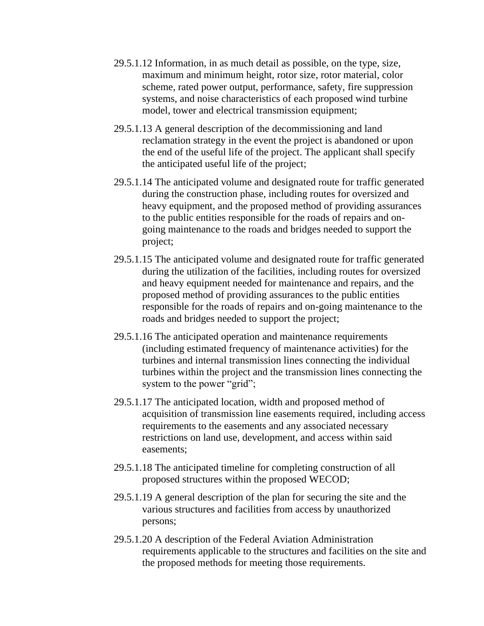- 29.5.1.12 Information, in as much detail as possible, on the type, size, maximum and minimum height, rotor size, rotor material, color scheme, rated power output, performance, safety, fire suppression systems, and noise characteristics of each proposed wind turbine model, tower and electrical transmission equipment;
- 29.5.1.13 A general description of the decommissioning and land reclamation strategy in the event the project is abandoned or upon the end of the useful life of the project. The applicant shall specify the anticipated useful life of the project;
- 29.5.1.14 The anticipated volume and designated route for traffic generated during the construction phase, including routes for oversized and heavy equipment, and the proposed method of providing assurances to the public entities responsible for the roads of repairs and ongoing maintenance to the roads and bridges needed to support the project;
- 29.5.1.15 The anticipated volume and designated route for traffic generated during the utilization of the facilities, including routes for oversized and heavy equipment needed for maintenance and repairs, and the proposed method of providing assurances to the public entities responsible for the roads of repairs and on-going maintenance to the roads and bridges needed to support the project;
- 29.5.1.16 The anticipated operation and maintenance requirements (including estimated frequency of maintenance activities) for the turbines and internal transmission lines connecting the individual turbines within the project and the transmission lines connecting the system to the power "grid";
- 29.5.1.17 The anticipated location, width and proposed method of acquisition of transmission line easements required, including access requirements to the easements and any associated necessary restrictions on land use, development, and access within said easements;
- 29.5.1.18 The anticipated timeline for completing construction of all proposed structures within the proposed WECOD;
- 29.5.1.19 A general description of the plan for securing the site and the various structures and facilities from access by unauthorized persons;
- 29.5.1.20 A description of the Federal Aviation Administration requirements applicable to the structures and facilities on the site and the proposed methods for meeting those requirements.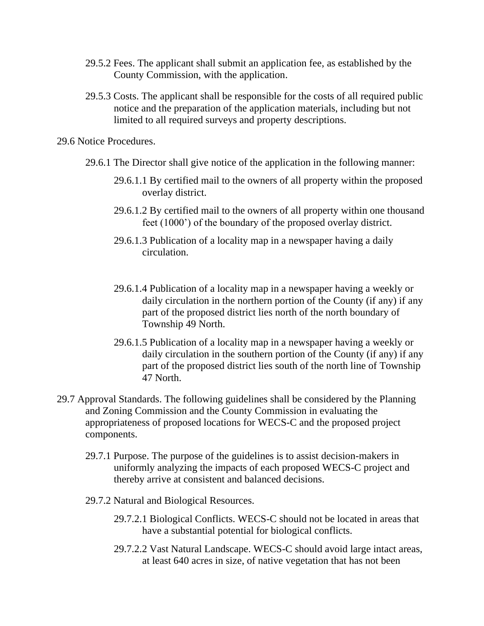- 29.5.2 Fees. The applicant shall submit an application fee, as established by the County Commission, with the application.
- 29.5.3 Costs. The applicant shall be responsible for the costs of all required public notice and the preparation of the application materials, including but not limited to all required surveys and property descriptions.

29.6 Notice Procedures.

- 29.6.1 The Director shall give notice of the application in the following manner:
	- 29.6.1.1 By certified mail to the owners of all property within the proposed overlay district.
	- 29.6.1.2 By certified mail to the owners of all property within one thousand feet (1000') of the boundary of the proposed overlay district.
	- 29.6.1.3 Publication of a locality map in a newspaper having a daily circulation.
	- 29.6.1.4 Publication of a locality map in a newspaper having a weekly or daily circulation in the northern portion of the County (if any) if any part of the proposed district lies north of the north boundary of Township 49 North.
	- 29.6.1.5 Publication of a locality map in a newspaper having a weekly or daily circulation in the southern portion of the County (if any) if any part of the proposed district lies south of the north line of Township 47 North.
- 29.7 Approval Standards. The following guidelines shall be considered by the Planning and Zoning Commission and the County Commission in evaluating the appropriateness of proposed locations for WECS-C and the proposed project components.
	- 29.7.1 Purpose. The purpose of the guidelines is to assist decision-makers in uniformly analyzing the impacts of each proposed WECS-C project and thereby arrive at consistent and balanced decisions.
	- 29.7.2 Natural and Biological Resources.
		- 29.7.2.1 Biological Conflicts. WECS-C should not be located in areas that have a substantial potential for biological conflicts.
		- 29.7.2.2 Vast Natural Landscape. WECS-C should avoid large intact areas, at least 640 acres in size, of native vegetation that has not been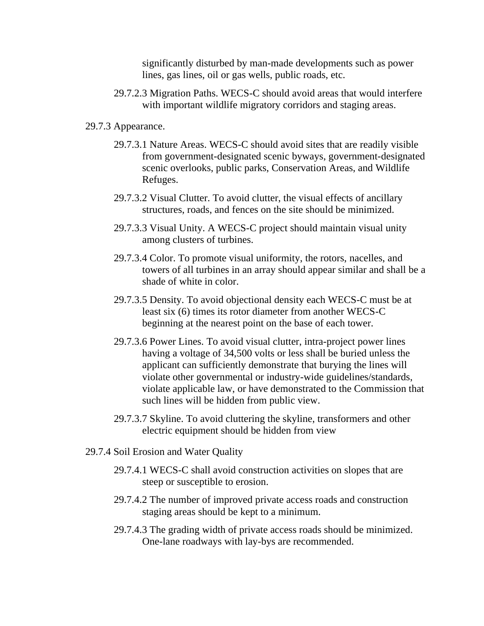significantly disturbed by man-made developments such as power lines, gas lines, oil or gas wells, public roads, etc.

29.7.2.3 Migration Paths. WECS-C should avoid areas that would interfere with important wildlife migratory corridors and staging areas.

## 29.7.3 Appearance.

- 29.7.3.1 Nature Areas. WECS-C should avoid sites that are readily visible from government-designated scenic byways, government-designated scenic overlooks, public parks, Conservation Areas, and Wildlife Refuges.
- 29.7.3.2 Visual Clutter. To avoid clutter, the visual effects of ancillary structures, roads, and fences on the site should be minimized.
- 29.7.3.3 Visual Unity. A WECS-C project should maintain visual unity among clusters of turbines.
- 29.7.3.4 Color. To promote visual uniformity, the rotors, nacelles, and towers of all turbines in an array should appear similar and shall be a shade of white in color.
- 29.7.3.5 Density. To avoid objectional density each WECS-C must be at least six (6) times its rotor diameter from another WECS-C beginning at the nearest point on the base of each tower.
- 29.7.3.6 Power Lines. To avoid visual clutter, intra-project power lines having a voltage of 34,500 volts or less shall be buried unless the applicant can sufficiently demonstrate that burying the lines will violate other governmental or industry-wide guidelines/standards, violate applicable law, or have demonstrated to the Commission that such lines will be hidden from public view.
- 29.7.3.7 Skyline. To avoid cluttering the skyline, transformers and other electric equipment should be hidden from view
- 29.7.4 Soil Erosion and Water Quality
	- 29.7.4.1 WECS-C shall avoid construction activities on slopes that are steep or susceptible to erosion.
	- 29.7.4.2 The number of improved private access roads and construction staging areas should be kept to a minimum.
	- 29.7.4.3 The grading width of private access roads should be minimized. One-lane roadways with lay-bys are recommended.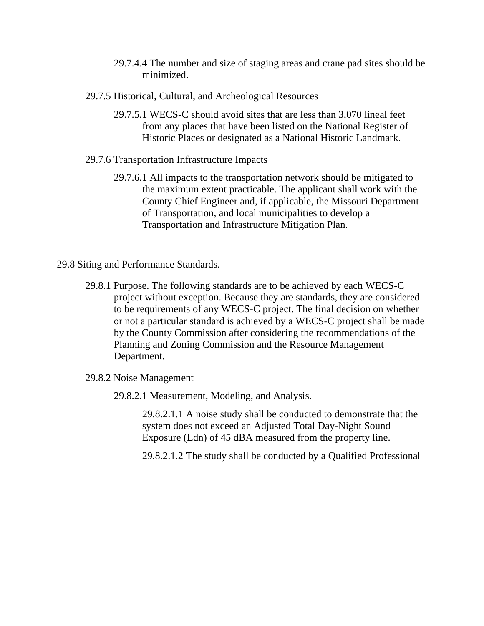- 29.7.4.4 The number and size of staging areas and crane pad sites should be minimized.
- 29.7.5 Historical, Cultural, and Archeological Resources
	- 29.7.5.1 WECS-C should avoid sites that are less than 3,070 lineal feet from any places that have been listed on the National Register of Historic Places or designated as a National Historic Landmark.
- 29.7.6 Transportation Infrastructure Impacts
	- 29.7.6.1 All impacts to the transportation network should be mitigated to the maximum extent practicable. The applicant shall work with the County Chief Engineer and, if applicable, the Missouri Department of Transportation, and local municipalities to develop a Transportation and Infrastructure Mitigation Plan.
- 29.8 Siting and Performance Standards.
	- 29.8.1 Purpose. The following standards are to be achieved by each WECS-C project without exception. Because they are standards, they are considered to be requirements of any WECS-C project. The final decision on whether or not a particular standard is achieved by a WECS-C project shall be made by the County Commission after considering the recommendations of the Planning and Zoning Commission and the Resource Management Department.
	- 29.8.2 Noise Management
		- 29.8.2.1 Measurement, Modeling, and Analysis.

29.8.2.1.1 A noise study shall be conducted to demonstrate that the system does not exceed an Adjusted Total Day-Night Sound Exposure (Ldn) of 45 dBA measured from the property line.

29.8.2.1.2 The study shall be conducted by a Qualified Professional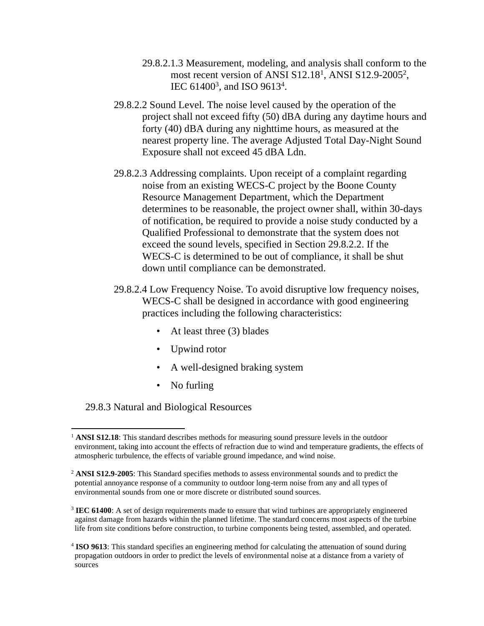- 29.8.2.1.3 Measurement, modeling, and analysis shall conform to the most recent version of ANSI S12.18<sup>1</sup>, ANSI S12.9-2005<sup>2</sup>, IEC 61400<sup>3</sup>, and ISO 9613<sup>4</sup>.
- 29.8.2.2 Sound Level. The noise level caused by the operation of the project shall not exceed fifty (50) dBA during any daytime hours and forty (40) dBA during any nighttime hours, as measured at the nearest property line. The average Adjusted Total Day-Night Sound Exposure shall not exceed 45 dBA Ldn.
- 29.8.2.3 Addressing complaints. Upon receipt of a complaint regarding noise from an existing WECS-C project by the Boone County Resource Management Department, which the Department determines to be reasonable, the project owner shall, within 30-days of notification, be required to provide a noise study conducted by a Qualified Professional to demonstrate that the system does not exceed the sound levels, specified in Section 29.8.2.2. If the WECS-C is determined to be out of compliance, it shall be shut down until compliance can be demonstrated.
- 29.8.2.4 Low Frequency Noise. To avoid disruptive low frequency noises, WECS-C shall be designed in accordance with good engineering practices including the following characteristics:
	- At least three (3) blades
	- Upwind rotor
	- A well-designed braking system
	- No furling

29.8.3 Natural and Biological Resources

<sup>&</sup>lt;sup>1</sup> **ANSI S12.18**: This standard describes methods for measuring sound pressure levels in the outdoor environment, taking into account the effects of refraction due to wind and temperature gradients, the effects of atmospheric turbulence, the effects of variable ground impedance, and wind noise.

<sup>2</sup> **ANSI S12.9-2005**: This Standard specifies methods to assess environmental sounds and to predict the potential annoyance response of a community to outdoor long-term noise from any and all types of environmental sounds from one or more discrete or distributed sound sources.

<sup>&</sup>lt;sup>3</sup> **IEC 61400**: A set of design requirements made to ensure that wind turbines are appropriately engineered against damage from hazards within the planned lifetime. The standard concerns most aspects of the turbine life from site conditions before construction, to turbine components being tested, assembled, and operated.

<sup>&</sup>lt;sup>4</sup> ISO 9613: This standard specifies an engineering method for calculating the attenuation of sound during propagation outdoors in order to predict the levels of environmental noise at a distance from a variety of sources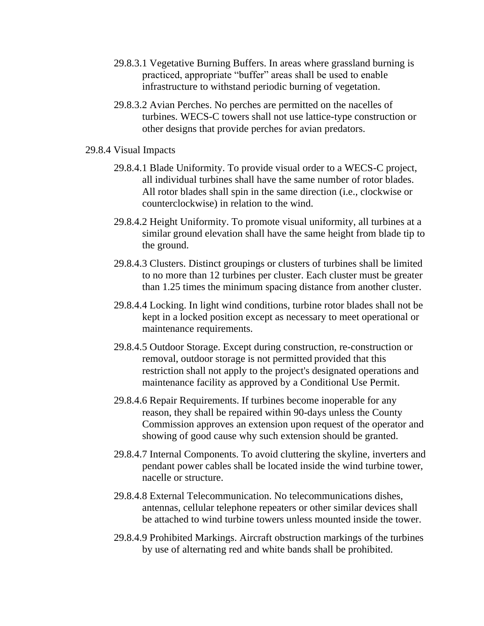- 29.8.3.1 Vegetative Burning Buffers. In areas where grassland burning is practiced, appropriate "buffer" areas shall be used to enable infrastructure to withstand periodic burning of vegetation.
- 29.8.3.2 Avian Perches. No perches are permitted on the nacelles of turbines. WECS-C towers shall not use lattice-type construction or other designs that provide perches for avian predators.
- 29.8.4 Visual Impacts
	- 29.8.4.1 Blade Uniformity. To provide visual order to a WECS-C project, all individual turbines shall have the same number of rotor blades. All rotor blades shall spin in the same direction (i.e., clockwise or counterclockwise) in relation to the wind.
	- 29.8.4.2 Height Uniformity. To promote visual uniformity, all turbines at a similar ground elevation shall have the same height from blade tip to the ground.
	- 29.8.4.3 Clusters. Distinct groupings or clusters of turbines shall be limited to no more than 12 turbines per cluster. Each cluster must be greater than 1.25 times the minimum spacing distance from another cluster.
	- 29.8.4.4 Locking. In light wind conditions, turbine rotor blades shall not be kept in a locked position except as necessary to meet operational or maintenance requirements.
	- 29.8.4.5 Outdoor Storage. Except during construction, re-construction or removal, outdoor storage is not permitted provided that this restriction shall not apply to the project's designated operations and maintenance facility as approved by a Conditional Use Permit.
	- 29.8.4.6 Repair Requirements. If turbines become inoperable for any reason, they shall be repaired within 90-days unless the County Commission approves an extension upon request of the operator and showing of good cause why such extension should be granted.
	- 29.8.4.7 Internal Components. To avoid cluttering the skyline, inverters and pendant power cables shall be located inside the wind turbine tower, nacelle or structure.
	- 29.8.4.8 External Telecommunication. No telecommunications dishes, antennas, cellular telephone repeaters or other similar devices shall be attached to wind turbine towers unless mounted inside the tower.
	- 29.8.4.9 Prohibited Markings. Aircraft obstruction markings of the turbines by use of alternating red and white bands shall be prohibited.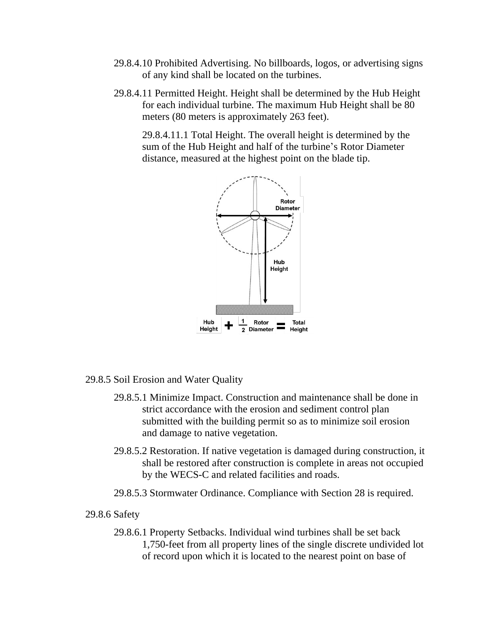- 29.8.4.10 Prohibited Advertising. No billboards, logos, or advertising signs of any kind shall be located on the turbines.
- 29.8.4.11 Permitted Height. Height shall be determined by the Hub Height for each individual turbine. The maximum Hub Height shall be 80 meters (80 meters is approximately 263 feet).

29.8.4.11.1 Total Height. The overall height is determined by the sum of the Hub Height and half of the turbine's Rotor Diameter distance, measured at the highest point on the blade tip.



# 29.8.5 Soil Erosion and Water Quality

- 29.8.5.1 Minimize Impact. Construction and maintenance shall be done in strict accordance with the erosion and sediment control plan submitted with the building permit so as to minimize soil erosion and damage to native vegetation.
- 29.8.5.2 Restoration. If native vegetation is damaged during construction, it shall be restored after construction is complete in areas not occupied by the WECS-C and related facilities and roads.
- 29.8.5.3 Stormwater Ordinance. Compliance with Section 28 is required.

## 29.8.6 Safety

29.8.6.1 Property Setbacks. Individual wind turbines shall be set back 1,750-feet from all property lines of the single discrete undivided lot of record upon which it is located to the nearest point on base of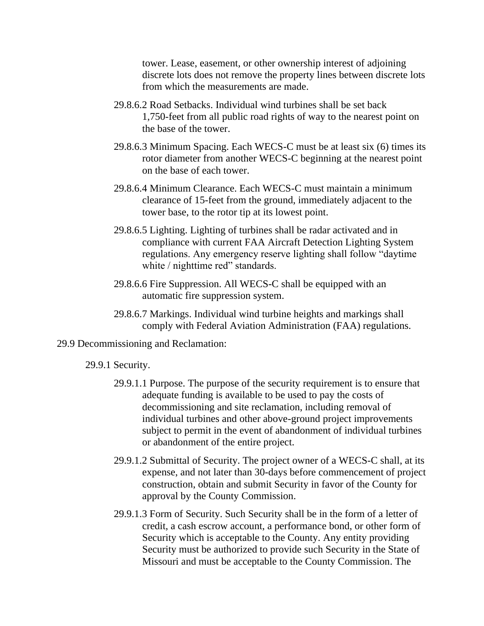tower. Lease, easement, or other ownership interest of adjoining discrete lots does not remove the property lines between discrete lots from which the measurements are made.

- 29.8.6.2 Road Setbacks. Individual wind turbines shall be set back 1,750-feet from all public road rights of way to the nearest point on the base of the tower.
- 29.8.6.3 Minimum Spacing. Each WECS-C must be at least six (6) times its rotor diameter from another WECS-C beginning at the nearest point on the base of each tower.
- 29.8.6.4 Minimum Clearance. Each WECS-C must maintain a minimum clearance of 15-feet from the ground, immediately adjacent to the tower base, to the rotor tip at its lowest point.
- 29.8.6.5 Lighting. Lighting of turbines shall be radar activated and in compliance with current FAA Aircraft Detection Lighting System regulations. Any emergency reserve lighting shall follow "daytime white / nighttime red" standards.
- 29.8.6.6 Fire Suppression. All WECS-C shall be equipped with an automatic fire suppression system.
- 29.8.6.7 Markings. Individual wind turbine heights and markings shall comply with Federal Aviation Administration (FAA) regulations.

#### 29.9 Decommissioning and Reclamation:

#### 29.9.1 Security.

- 29.9.1.1 Purpose. The purpose of the security requirement is to ensure that adequate funding is available to be used to pay the costs of decommissioning and site reclamation, including removal of individual turbines and other above-ground project improvements subject to permit in the event of abandonment of individual turbines or abandonment of the entire project.
- 29.9.1.2 Submittal of Security. The project owner of a WECS-C shall, at its expense, and not later than 30-days before commencement of project construction, obtain and submit Security in favor of the County for approval by the County Commission.
- 29.9.1.3 Form of Security. Such Security shall be in the form of a letter of credit, a cash escrow account, a performance bond, or other form of Security which is acceptable to the County. Any entity providing Security must be authorized to provide such Security in the State of Missouri and must be acceptable to the County Commission. The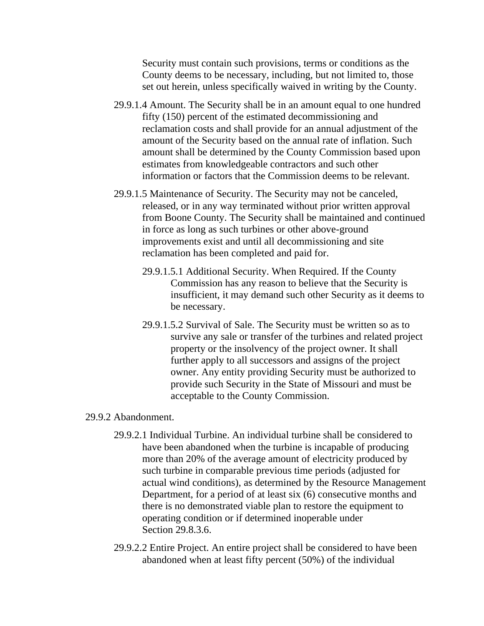Security must contain such provisions, terms or conditions as the County deems to be necessary, including, but not limited to, those set out herein, unless specifically waived in writing by the County.

- 29.9.1.4 Amount. The Security shall be in an amount equal to one hundred fifty (150) percent of the estimated decommissioning and reclamation costs and shall provide for an annual adjustment of the amount of the Security based on the annual rate of inflation. Such amount shall be determined by the County Commission based upon estimates from knowledgeable contractors and such other information or factors that the Commission deems to be relevant.
- 29.9.1.5 Maintenance of Security. The Security may not be canceled, released, or in any way terminated without prior written approval from Boone County. The Security shall be maintained and continued in force as long as such turbines or other above-ground improvements exist and until all decommissioning and site reclamation has been completed and paid for.
	- 29.9.1.5.1 Additional Security. When Required. If the County Commission has any reason to believe that the Security is insufficient, it may demand such other Security as it deems to be necessary.
	- 29.9.1.5.2 Survival of Sale. The Security must be written so as to survive any sale or transfer of the turbines and related project property or the insolvency of the project owner. It shall further apply to all successors and assigns of the project owner. Any entity providing Security must be authorized to provide such Security in the State of Missouri and must be acceptable to the County Commission.

## 29.9.2 Abandonment.

- 29.9.2.1 Individual Turbine. An individual turbine shall be considered to have been abandoned when the turbine is incapable of producing more than 20% of the average amount of electricity produced by such turbine in comparable previous time periods (adjusted for actual wind conditions), as determined by the Resource Management Department, for a period of at least six (6) consecutive months and there is no demonstrated viable plan to restore the equipment to operating condition or if determined inoperable under Section 29.8.3.6.
- 29.9.2.2 Entire Project. An entire project shall be considered to have been abandoned when at least fifty percent (50%) of the individual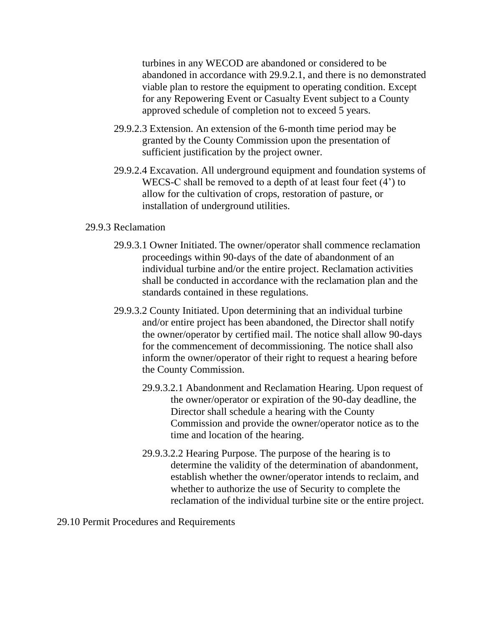turbines in any WECOD are abandoned or considered to be abandoned in accordance with 29.9.2.1, and there is no demonstrated viable plan to restore the equipment to operating condition. Except for any Repowering Event or Casualty Event subject to a County approved schedule of completion not to exceed 5 years.

- 29.9.2.3 Extension. An extension of the 6-month time period may be granted by the County Commission upon the presentation of sufficient justification by the project owner.
- 29.9.2.4 Excavation. All underground equipment and foundation systems of WECS-C shall be removed to a depth of at least four feet (4') to allow for the cultivation of crops, restoration of pasture, or installation of underground utilities.

## 29.9.3 Reclamation

- 29.9.3.1 Owner Initiated. The owner/operator shall commence reclamation proceedings within 90-days of the date of abandonment of an individual turbine and/or the entire project. Reclamation activities shall be conducted in accordance with the reclamation plan and the standards contained in these regulations.
- 29.9.3.2 County Initiated. Upon determining that an individual turbine and/or entire project has been abandoned, the Director shall notify the owner/operator by certified mail. The notice shall allow 90-days for the commencement of decommissioning. The notice shall also inform the owner/operator of their right to request a hearing before the County Commission.
	- 29.9.3.2.1 Abandonment and Reclamation Hearing. Upon request of the owner/operator or expiration of the 90-day deadline, the Director shall schedule a hearing with the County Commission and provide the owner/operator notice as to the time and location of the hearing.
	- 29.9.3.2.2 Hearing Purpose. The purpose of the hearing is to determine the validity of the determination of abandonment, establish whether the owner/operator intends to reclaim, and whether to authorize the use of Security to complete the reclamation of the individual turbine site or the entire project.

29.10 Permit Procedures and Requirements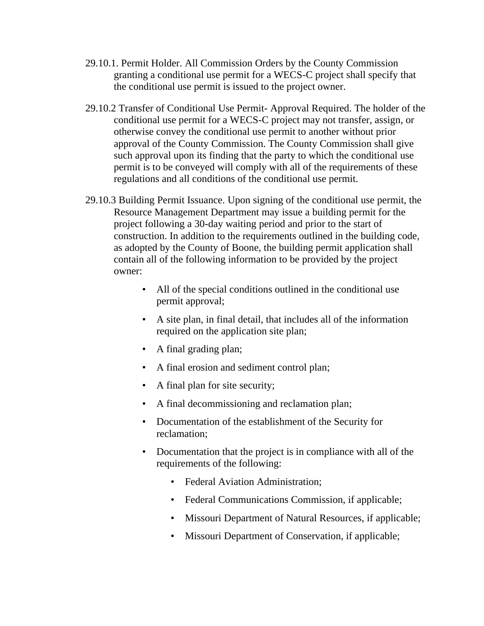- 29.10.1. Permit Holder. All Commission Orders by the County Commission granting a conditional use permit for a WECS-C project shall specify that the conditional use permit is issued to the project owner.
- 29.10.2 Transfer of Conditional Use Permit- Approval Required. The holder of the conditional use permit for a WECS-C project may not transfer, assign, or otherwise convey the conditional use permit to another without prior approval of the County Commission. The County Commission shall give such approval upon its finding that the party to which the conditional use permit is to be conveyed will comply with all of the requirements of these regulations and all conditions of the conditional use permit.
- 29.10.3 Building Permit Issuance. Upon signing of the conditional use permit, the Resource Management Department may issue a building permit for the project following a 30-day waiting period and prior to the start of construction. In addition to the requirements outlined in the building code, as adopted by the County of Boone, the building permit application shall contain all of the following information to be provided by the project owner:
	- All of the special conditions outlined in the conditional use permit approval;
	- A site plan, in final detail, that includes all of the information required on the application site plan;
	- A final grading plan;
	- A final erosion and sediment control plan;
	- A final plan for site security;
	- A final decommissioning and reclamation plan;
	- Documentation of the establishment of the Security for reclamation;
	- Documentation that the project is in compliance with all of the requirements of the following:
		- Federal Aviation Administration:
		- Federal Communications Commission, if applicable;
		- Missouri Department of Natural Resources, if applicable;
		- Missouri Department of Conservation, if applicable;